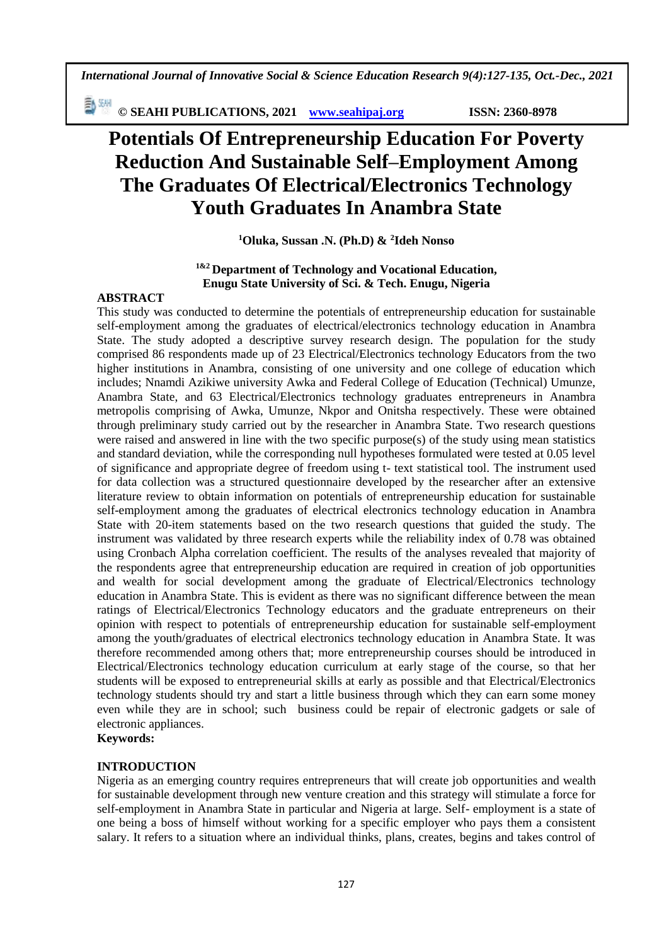*International Journal of Innovative Social & Science Education Research 9(4):127-135, Oct.-Dec., 2021*

**© SEAHI PUBLICATIONS, 2021 [www.seahipaj.org](http://www.seahipaj.org/) ISSN: 2360-8978**

# **Potentials Of Entrepreneurship Education For Poverty Reduction And Sustainable Self–Employment Among The Graduates Of Electrical/Electronics Technology Youth Graduates In Anambra State**

**<sup>1</sup>Oluka, Sussan .N. (Ph.D) & <sup>2</sup> Ideh Nonso**

## **1&2 Department of Technology and Vocational Education, Enugu State University of Sci. & Tech. Enugu, Nigeria**

## **ABSTRACT**

This study was conducted to determine the potentials of entrepreneurship education for sustainable self-employment among the graduates of electrical/electronics technology education in Anambra State. The study adopted a descriptive survey research design. The population for the study comprised 86 respondents made up of 23 Electrical/Electronics technology Educators from the two higher institutions in Anambra, consisting of one university and one college of education which includes; Nnamdi Azikiwe university Awka and Federal College of Education (Technical) Umunze, Anambra State, and 63 Electrical/Electronics technology graduates entrepreneurs in Anambra metropolis comprising of Awka, Umunze, Nkpor and Onitsha respectively. These were obtained through preliminary study carried out by the researcher in Anambra State. Two research questions were raised and answered in line with the two specific purpose(s) of the study using mean statistics and standard deviation, while the corresponding null hypotheses formulated were tested at 0.05 level of significance and appropriate degree of freedom using t- text statistical tool. The instrument used for data collection was a structured questionnaire developed by the researcher after an extensive literature review to obtain information on potentials of entrepreneurship education for sustainable self-employment among the graduates of electrical electronics technology education in Anambra State with 20-item statements based on the two research questions that guided the study. The instrument was validated by three research experts while the reliability index of 0.78 was obtained using Cronbach Alpha correlation coefficient. The results of the analyses revealed that majority of the respondents agree that entrepreneurship education are required in creation of job opportunities and wealth for social development among the graduate of Electrical/Electronics technology education in Anambra State. This is evident as there was no significant difference between the mean ratings of Electrical/Electronics Technology educators and the graduate entrepreneurs on their opinion with respect to potentials of entrepreneurship education for sustainable self-employment among the youth/graduates of electrical electronics technology education in Anambra State. It was therefore recommended among others that; more entrepreneurship courses should be introduced in Electrical/Electronics technology education curriculum at early stage of the course, so that her students will be exposed to entrepreneurial skills at early as possible and that Electrical/Electronics technology students should try and start a little business through which they can earn some money even while they are in school; such business could be repair of electronic gadgets or sale of electronic appliances.

**Keywords:**

### **INTRODUCTION**

Nigeria as an emerging country requires entrepreneurs that will create job opportunities and wealth for sustainable development through new venture creation and this strategy will stimulate a force for self-employment in Anambra State in particular and Nigeria at large. Self- employment is a state of one being a boss of himself without working for a specific employer who pays them a consistent salary. It refers to a situation where an individual thinks, plans, creates, begins and takes control of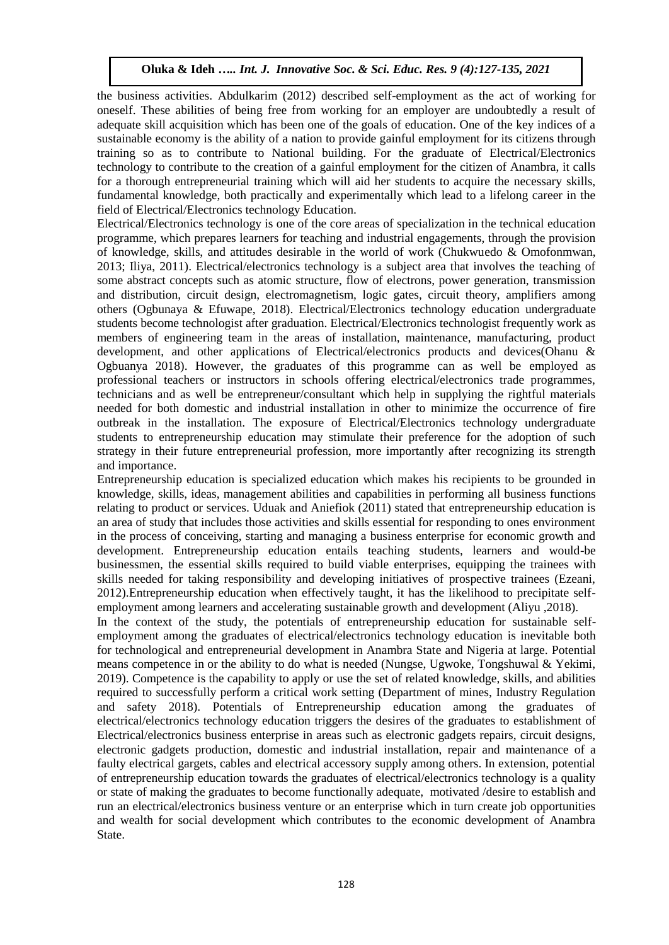the business activities. Abdulkarim (2012) described self-employment as the act of working for oneself. These abilities of being free from working for an employer are undoubtedly a result of adequate skill acquisition which has been one of the goals of education. One of the key indices of a sustainable economy is the ability of a nation to provide gainful employment for its citizens through training so as to contribute to National building. For the graduate of Electrical/Electronics technology to contribute to the creation of a gainful employment for the citizen of Anambra, it calls for a thorough entrepreneurial training which will aid her students to acquire the necessary skills, fundamental knowledge, both practically and experimentally which lead to a lifelong career in the field of Electrical/Electronics technology Education.

Electrical/Electronics technology is one of the core areas of specialization in the technical education programme, which prepares learners for teaching and industrial engagements, through the provision of knowledge, skills, and attitudes desirable in the world of work (Chukwuedo & Omofonmwan, 2013; Iliya, 2011). Electrical/electronics technology is a subject area that involves the teaching of some abstract concepts such as atomic structure, flow of electrons, power generation, transmission and distribution, circuit design, electromagnetism, logic gates, circuit theory, amplifiers among others (Ogbunaya & Efuwape, 2018). Electrical/Electronics technology education undergraduate students become technologist after graduation. Electrical/Electronics technologist frequently work as members of engineering team in the areas of installation, maintenance, manufacturing, product development, and other applications of Electrical/electronics products and devices(Ohanu & Ogbuanya 2018). However, the graduates of this programme can as well be employed as professional teachers or instructors in schools offering electrical/electronics trade programmes, technicians and as well be entrepreneur/consultant which help in supplying the rightful materials needed for both domestic and industrial installation in other to minimize the occurrence of fire outbreak in the installation. The exposure of Electrical/Electronics technology undergraduate students to entrepreneurship education may stimulate their preference for the adoption of such strategy in their future entrepreneurial profession, more importantly after recognizing its strength and importance.

Entrepreneurship education is specialized education which makes his recipients to be grounded in knowledge, skills, ideas, management abilities and capabilities in performing all business functions relating to product or services. Uduak and Aniefiok (2011) stated that entrepreneurship education is an area of study that includes those activities and skills essential for responding to ones environment in the process of conceiving, starting and managing a business enterprise for economic growth and development. Entrepreneurship education entails teaching students, learners and would-be businessmen, the essential skills required to build viable enterprises, equipping the trainees with skills needed for taking responsibility and developing initiatives of prospective trainees (Ezeani, 2012).Entrepreneurship education when effectively taught, it has the likelihood to precipitate selfemployment among learners and accelerating sustainable growth and development (Aliyu ,2018).

In the context of the study, the potentials of entrepreneurship education for sustainable selfemployment among the graduates of electrical/electronics technology education is inevitable both for technological and entrepreneurial development in Anambra State and Nigeria at large. Potential means competence in or the ability to do what is needed (Nungse, Ugwoke, Tongshuwal & Yekimi, 2019). Competence is the capability to apply or use the set of related knowledge, skills, and abilities required to successfully perform a critical work setting (Department of mines, Industry Regulation and safety 2018). Potentials of Entrepreneurship education among the graduates of electrical/electronics technology education triggers the desires of the graduates to establishment of Electrical/electronics business enterprise in areas such as electronic gadgets repairs, circuit designs, electronic gadgets production, domestic and industrial installation, repair and maintenance of a faulty electrical gargets, cables and electrical accessory supply among others. In extension, potential of entrepreneurship education towards the graduates of electrical/electronics technology is a quality or state of making the graduates to become functionally adequate, motivated /desire to establish and run an electrical/electronics business venture or an enterprise which in turn create job opportunities and wealth for social development which contributes to the economic development of Anambra State.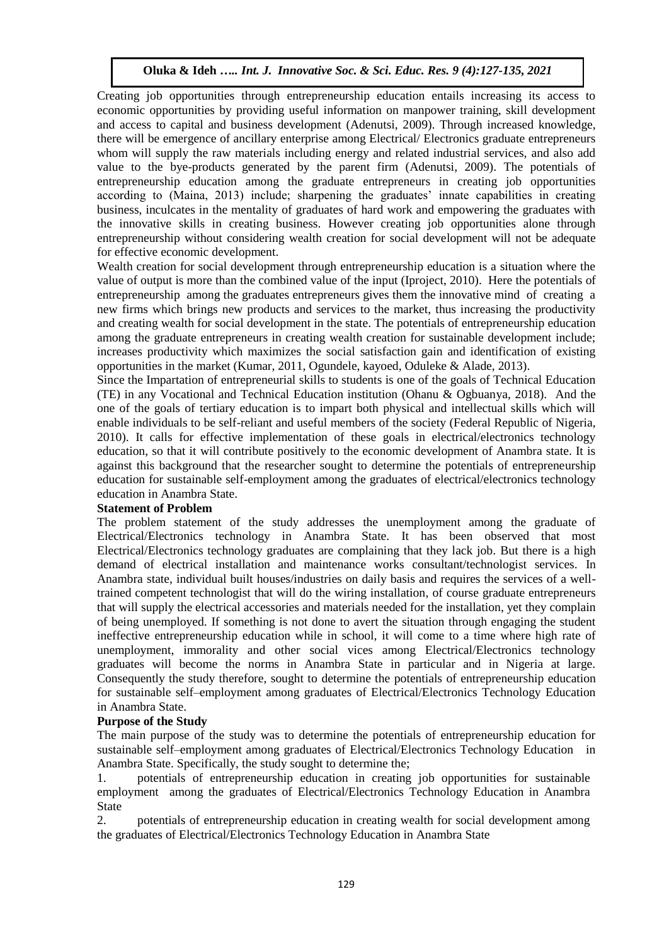Creating job opportunities through entrepreneurship education entails increasing its access to economic opportunities by providing useful information on manpower training, skill development and access to capital and business development (Adenutsi, 2009). Through increased knowledge, there will be emergence of ancillary enterprise among Electrical/ Electronics graduate entrepreneurs whom will supply the raw materials including energy and related industrial services, and also add value to the bye-products generated by the parent firm (Adenutsi, 2009). The potentials of entrepreneurship education among the graduate entrepreneurs in creating job opportunities according to (Maina, 2013) include; sharpening the graduates' innate capabilities in creating business, inculcates in the mentality of graduates of hard work and empowering the graduates with the innovative skills in creating business. However creating job opportunities alone through entrepreneurship without considering wealth creation for social development will not be adequate for effective economic development.

Wealth creation for social development through entrepreneurship education is a situation where the value of output is more than the combined value of the input (Iproject, 2010). Here the potentials of entrepreneurship among the graduates entrepreneurs gives them the innovative mind of creating a new firms which brings new products and services to the market, thus increasing the productivity and creating wealth for social development in the state. The potentials of entrepreneurship education among the graduate entrepreneurs in creating wealth creation for sustainable development include; increases productivity which maximizes the social satisfaction gain and identification of existing opportunities in the market (Kumar, 2011, Ogundele, kayoed, Oduleke & Alade, 2013).

Since the Impartation of entrepreneurial skills to students is one of the goals of Technical Education (TE) in any Vocational and Technical Education institution (Ohanu & Ogbuanya, 2018). And the one of the goals of tertiary education is to impart both physical and intellectual skills which will enable individuals to be self-reliant and useful members of the society (Federal Republic of Nigeria, 2010). It calls for effective implementation of these goals in electrical/electronics technology education, so that it will contribute positively to the economic development of Anambra state. It is against this background that the researcher sought to determine the potentials of entrepreneurship education for sustainable self-employment among the graduates of electrical/electronics technology education in Anambra State.

### **Statement of Problem**

The problem statement of the study addresses the unemployment among the graduate of Electrical/Electronics technology in Anambra State. It has been observed that most Electrical/Electronics technology graduates are complaining that they lack job. But there is a high demand of electrical installation and maintenance works consultant/technologist services. In Anambra state, individual built houses/industries on daily basis and requires the services of a welltrained competent technologist that will do the wiring installation, of course graduate entrepreneurs that will supply the electrical accessories and materials needed for the installation, yet they complain of being unemployed. If something is not done to avert the situation through engaging the student ineffective entrepreneurship education while in school, it will come to a time where high rate of unemployment, immorality and other social vices among Electrical/Electronics technology graduates will become the norms in Anambra State in particular and in Nigeria at large. Consequently the study therefore, sought to determine the potentials of entrepreneurship education for sustainable self–employment among graduates of Electrical/Electronics Technology Education in Anambra State.

### **Purpose of the Study**

The main purpose of the study was to determine the potentials of entrepreneurship education for sustainable self–employment among graduates of Electrical/Electronics Technology Education in Anambra State. Specifically, the study sought to determine the;

1. potentials of entrepreneurship education in creating job opportunities for sustainable employment among the graduates of Electrical/Electronics Technology Education in Anambra State

2. potentials of entrepreneurship education in creating wealth for social development among the graduates of Electrical/Electronics Technology Education in Anambra State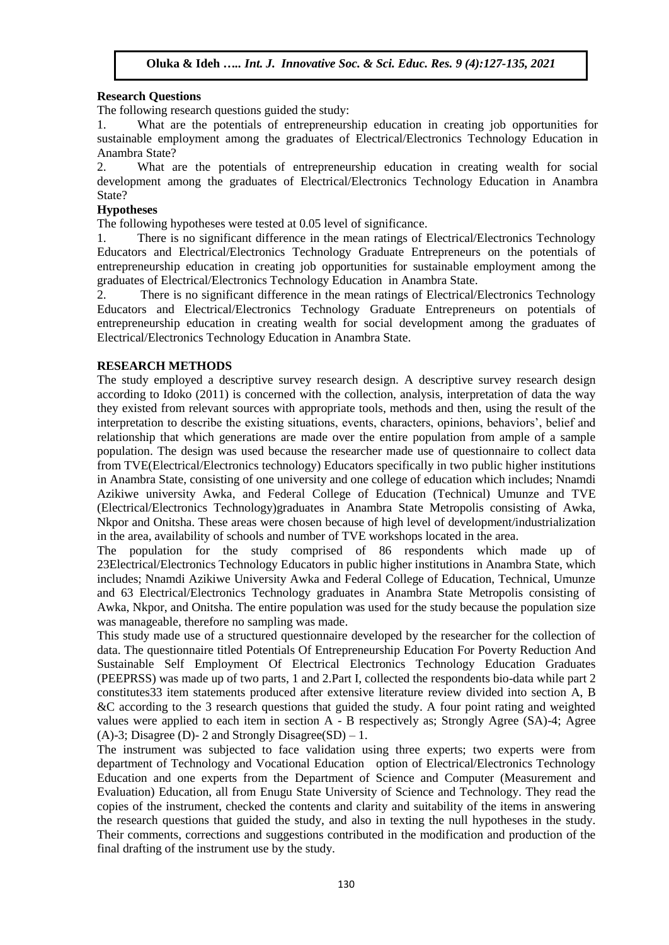#### **Research Questions**

The following research questions guided the study:

1. What are the potentials of entrepreneurship education in creating job opportunities for sustainable employment among the graduates of Electrical/Electronics Technology Education in Anambra State?

2. What are the potentials of entrepreneurship education in creating wealth for social development among the graduates of Electrical/Electronics Technology Education in Anambra State?

#### **Hypotheses**

The following hypotheses were tested at 0.05 level of significance.

1. There is no significant difference in the mean ratings of Electrical/Electronics Technology Educators and Electrical/Electronics Technology Graduate Entrepreneurs on the potentials of entrepreneurship education in creating job opportunities for sustainable employment among the graduates of Electrical/Electronics Technology Education in Anambra State.

2. There is no significant difference in the mean ratings of Electrical/Electronics Technology Educators and Electrical/Electronics Technology Graduate Entrepreneurs on potentials of entrepreneurship education in creating wealth for social development among the graduates of Electrical/Electronics Technology Education in Anambra State.

### **RESEARCH METHODS**

The study employed a descriptive survey research design. A descriptive survey research design according to Idoko (2011) is concerned with the collection, analysis, interpretation of data the way they existed from relevant sources with appropriate tools, methods and then, using the result of the interpretation to describe the existing situations, events, characters, opinions, behaviors', belief and relationship that which generations are made over the entire population from ample of a sample population. The design was used because the researcher made use of questionnaire to collect data from TVE(Electrical/Electronics technology) Educators specifically in two public higher institutions in Anambra State, consisting of one university and one college of education which includes; Nnamdi Azikiwe university Awka, and Federal College of Education (Technical) Umunze and TVE (Electrical/Electronics Technology)graduates in Anambra State Metropolis consisting of Awka, Nkpor and Onitsha. These areas were chosen because of high level of development/industrialization in the area, availability of schools and number of TVE workshops located in the area.

The population for the study comprised of 86 respondents which made up of 23Electrical/Electronics Technology Educators in public higher institutions in Anambra State, which includes; Nnamdi Azikiwe University Awka and Federal College of Education, Technical, Umunze and 63 Electrical/Electronics Technology graduates in Anambra State Metropolis consisting of Awka, Nkpor, and Onitsha. The entire population was used for the study because the population size was manageable, therefore no sampling was made.

This study made use of a structured questionnaire developed by the researcher for the collection of data. The questionnaire titled Potentials Of Entrepreneurship Education For Poverty Reduction And Sustainable Self Employment Of Electrical Electronics Technology Education Graduates (PEEPRSS) was made up of two parts, 1 and 2.Part I, collected the respondents bio-data while part 2 constitutes33 item statements produced after extensive literature review divided into section A, B &C according to the 3 research questions that guided the study. A four point rating and weighted values were applied to each item in section A - B respectively as; Strongly Agree (SA)-4; Agree (A)-3; Disagree (D)- 2 and Strongly Disagree(SD) – 1.

The instrument was subjected to face validation using three experts; two experts were from department of Technology and Vocational Education option of Electrical/Electronics Technology Education and one experts from the Department of Science and Computer (Measurement and Evaluation) Education, all from Enugu State University of Science and Technology. They read the copies of the instrument, checked the contents and clarity and suitability of the items in answering the research questions that guided the study, and also in texting the null hypotheses in the study. Their comments, corrections and suggestions contributed in the modification and production of the final drafting of the instrument use by the study.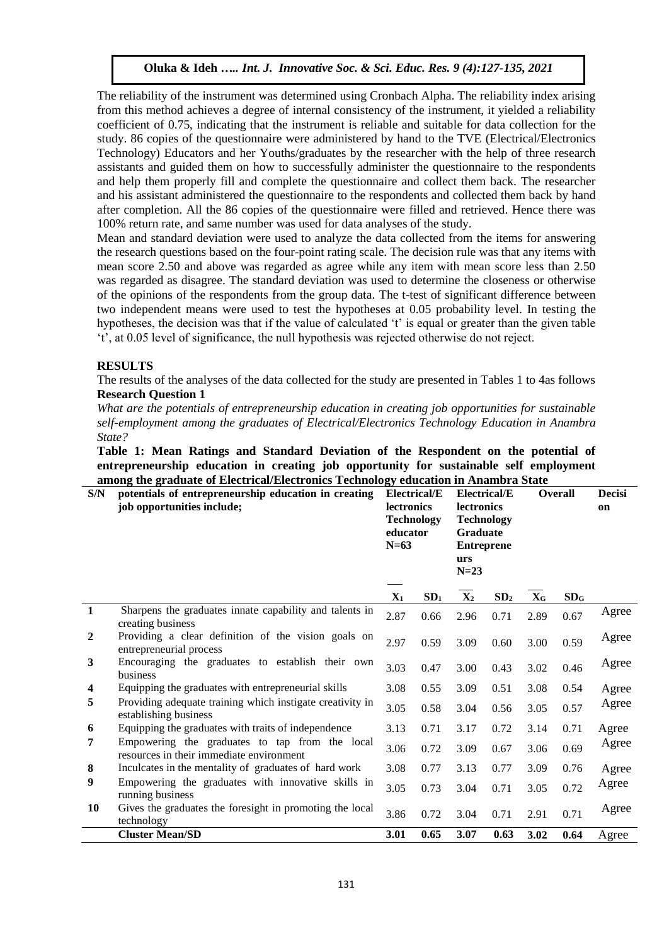The reliability of the instrument was determined using Cronbach Alpha. The reliability index arising from this method achieves a degree of internal consistency of the instrument, it yielded a reliability coefficient of 0.75, indicating that the instrument is reliable and suitable for data collection for the study. 86 copies of the questionnaire were administered by hand to the TVE (Electrical/Electronics Technology) Educators and her Youths/graduates by the researcher with the help of three research assistants and guided them on how to successfully administer the questionnaire to the respondents and help them properly fill and complete the questionnaire and collect them back. The researcher and his assistant administered the questionnaire to the respondents and collected them back by hand after completion. All the 86 copies of the questionnaire were filled and retrieved. Hence there was 100% return rate, and same number was used for data analyses of the study.

Mean and standard deviation were used to analyze the data collected from the items for answering the research questions based on the four-point rating scale. The decision rule was that any items with mean score 2.50 and above was regarded as agree while any item with mean score less than 2.50 was regarded as disagree. The standard deviation was used to determine the closeness or otherwise of the opinions of the respondents from the group data. The t-test of significant difference between two independent means were used to test the hypotheses at 0.05 probability level. In testing the hypotheses, the decision was that if the value of calculated 't' is equal or greater than the given table 't', at 0.05 level of significance, the null hypothesis was rejected otherwise do not reject.

## **RESULTS**

The results of the analyses of the data collected for the study are presented in Tables 1 to 4as follows **Research Question 1**

*What are the potentials of entrepreneurship education in creating job opportunities for sustainable self-employment among the graduates of Electrical/Electronics Technology Education in Anambra State?*

**Table 1: Mean Ratings and Standard Deviation of the Respondent on the potential of entrepreneurship education in creating job opportunity for sustainable self employment among the graduate of Electrical/Electronics Technology education in Anambra State**

| S/N              | potentials of entrepreneurship education in creating<br>job opportunities include;         | <b>Electrical/E</b><br><b>lectronics</b><br><b>Technology</b><br>educator<br>$N=63$ |                 | <b>Electrical/E</b><br><b>lectronics</b><br><b>Technology</b><br><b>Graduate</b><br><b>Entreprene</b><br>urs<br>$N = 23$ |                 | <b>Overall</b>          |                 | <b>Decisi</b><br>on |
|------------------|--------------------------------------------------------------------------------------------|-------------------------------------------------------------------------------------|-----------------|--------------------------------------------------------------------------------------------------------------------------|-----------------|-------------------------|-----------------|---------------------|
|                  |                                                                                            |                                                                                     |                 |                                                                                                                          |                 |                         |                 |                     |
|                  |                                                                                            | $\mathbf{X}_1$                                                                      | SD <sub>1</sub> | $\mathbf{X}_2$                                                                                                           | SD <sub>2</sub> | $\mathbf{X}_{\text{G}}$ | SD <sub>G</sub> |                     |
| $\mathbf{1}$     | Sharpens the graduates innate capability and talents in<br>creating business               | 2.87                                                                                | 0.66            | 2.96                                                                                                                     | 0.71            | 2.89                    | 0.67            | Agree               |
| $\boldsymbol{2}$ | Providing a clear definition of the vision goals on<br>entrepreneurial process             | 2.97                                                                                | 0.59            | 3.09                                                                                                                     | 0.60            | 3.00                    | 0.59            | Agree               |
| 3                | Encouraging the graduates to establish their own<br>business                               | 3.03                                                                                | 0.47            | 3.00                                                                                                                     | 0.43            | 3.02                    | 0.46            | Agree               |
| 4                | Equipping the graduates with entrepreneurial skills                                        | 3.08                                                                                | 0.55            | 3.09                                                                                                                     | 0.51            | 3.08                    | 0.54            | Agree               |
| 5                | Providing adequate training which instigate creativity in<br>establishing business         | 3.05                                                                                | 0.58            | 3.04                                                                                                                     | 0.56            | 3.05                    | 0.57            | Agree               |
| 6                | Equipping the graduates with traits of independence                                        | 3.13                                                                                | 0.71            | 3.17                                                                                                                     | 0.72            | 3.14                    | 0.71            | Agree               |
| 7                | Empowering the graduates to tap from the local<br>resources in their immediate environment | 3.06                                                                                | 0.72            | 3.09                                                                                                                     | 0.67            | 3.06                    | 0.69            | Agree               |
| 8                | Inculcates in the mentality of graduates of hard work                                      | 3.08                                                                                | 0.77            | 3.13                                                                                                                     | 0.77            | 3.09                    | 0.76            | Agree               |
| 9                | Empowering the graduates with innovative skills in<br>running business                     | 3.05                                                                                | 0.73            | 3.04                                                                                                                     | 0.71            | 3.05                    | 0.72            | Agree               |
| <b>10</b>        | Gives the graduates the foresight in promoting the local<br>technology                     | 3.86                                                                                | 0.72            | 3.04                                                                                                                     | 0.71            | 2.91                    | 0.71            | Agree               |
|                  | <b>Cluster Mean/SD</b>                                                                     | 3.01                                                                                | 0.65            | 3.07                                                                                                                     | 0.63            | 3.02                    | 0.64            | Agree               |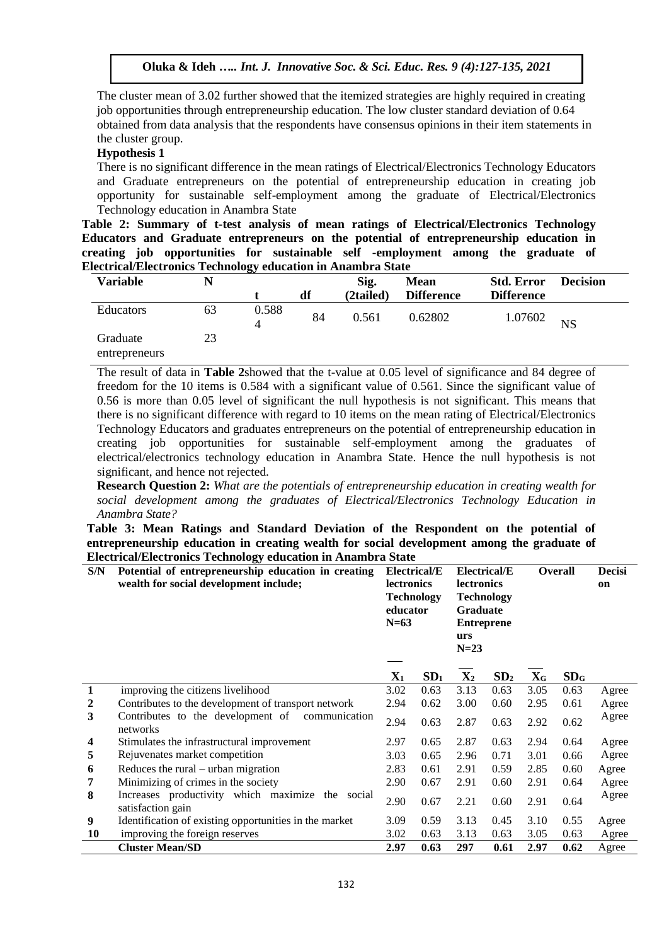The cluster mean of 3.02 further showed that the itemized strategies are highly required in creating job opportunities through entrepreneurship education. The low cluster standard deviation of 0.64 obtained from data analysis that the respondents have consensus opinions in their item statements in the cluster group.

#### **Hypothesis 1**

There is no significant difference in the mean ratings of Electrical/Electronics Technology Educators and Graduate entrepreneurs on the potential of entrepreneurship education in creating job opportunity for sustainable self-employment among the graduate of Electrical/Electronics Technology education in Anambra State

**Table 2: Summary of t-test analysis of mean ratings of Electrical/Electronics Technology Educators and Graduate entrepreneurs on the potential of entrepreneurship education in creating job opportunities for sustainable self -employment among the graduate of Electrical/Electronics Technology education in Anambra State**

| <b>Variable</b><br>N      |    | ິ          |    | Sig.<br><b>Mean</b> |                   | <b>Std. Error</b> | <b>Decision</b> |  |
|---------------------------|----|------------|----|---------------------|-------------------|-------------------|-----------------|--|
|                           |    |            | df | (2tailed)           | <b>Difference</b> | <b>Difference</b> |                 |  |
| Educators                 | 63 | 0.588<br>4 | 84 | 0.561               | 0.62802           | 1.07602           | <b>NS</b>       |  |
| Graduate<br>entrepreneurs | 23 |            |    |                     |                   |                   |                 |  |

The result of data in **Table 2**showed that the t-value at 0.05 level of significance and 84 degree of freedom for the 10 items is 0.584 with a significant value of 0.561. Since the significant value of 0.56 is more than 0.05 level of significant the null hypothesis is not significant. This means that there is no significant difference with regard to 10 items on the mean rating of Electrical/Electronics Technology Educators and graduates entrepreneurs on the potential of entrepreneurship education in creating job opportunities for sustainable self-employment among the graduates of electrical/electronics technology education in Anambra State. Hence the null hypothesis is not significant, and hence not rejected.

**Research Question 2:** *What are the potentials of entrepreneurship education in creating wealth for social development among the graduates of Electrical/Electronics Technology Education in Anambra State?*

**Table 3: Mean Ratings and Standard Deviation of the Respondent on the potential of entrepreneurship education in creating wealth for social development among the graduate of Electrical/Electronics Technology education in Anambra State**

| S/N          | Potential of entrepreneurship education in creating<br>wealth for social development include; |                | <b>Electrical/E</b><br><b>lectronics</b><br><b>Technology</b><br>educator<br>$N=63$ |                | Electrical/E<br><b>lectronics</b><br><b>Technology</b><br><b>Graduate</b><br><b>Entreprene</b><br>urs<br>$N=23$ |                           | <b>Overall</b>  |       |
|--------------|-----------------------------------------------------------------------------------------------|----------------|-------------------------------------------------------------------------------------|----------------|-----------------------------------------------------------------------------------------------------------------|---------------------------|-----------------|-------|
|              |                                                                                               | $\mathbf{X}_1$ | SD <sub>1</sub>                                                                     | $\mathbf{X}_2$ | SD <sub>2</sub>                                                                                                 | $\mathbf{X}_{\mathbf{G}}$ | SD <sub>G</sub> |       |
| $\mathbf{1}$ | improving the citizens livelihood                                                             | 3.02           | 0.63                                                                                | 3.13           | 0.63                                                                                                            | 3.05                      | 0.63            | Agree |
| 2            | Contributes to the development of transport network                                           | 2.94           | 0.62                                                                                | 3.00           | 0.60                                                                                                            | 2.95                      | 0.61            | Agree |
| 3            | Contributes to the development of<br>communication<br>networks                                | 2.94           | 0.63                                                                                | 2.87           | 0.63                                                                                                            | 2.92                      | 0.62            | Agree |
| 4            | Stimulates the infrastructural improvement                                                    | 2.97           | 0.65                                                                                | 2.87           | 0.63                                                                                                            | 2.94                      | 0.64            | Agree |
| 5            | Rejuvenates market competition                                                                | 3.03           | 0.65                                                                                | 2.96           | 0.71                                                                                                            | 3.01                      | 0.66            | Agree |
| 6            | Reduces the rural $-$ urban migration                                                         | 2.83           | 0.61                                                                                | 2.91           | 0.59                                                                                                            | 2.85                      | 0.60            | Agree |
| 7            | Minimizing of crimes in the society                                                           | 2.90           | 0.67                                                                                | 2.91           | 0.60                                                                                                            | 2.91                      | 0.64            | Agree |
| 8            | Increases productivity which maximize<br>the social<br>satisfaction gain                      | 2.90           | 0.67                                                                                | 2.21           | 0.60                                                                                                            | 2.91                      | 0.64            | Agree |
| 9            | Identification of existing opportunities in the market                                        | 3.09           | 0.59                                                                                | 3.13           | 0.45                                                                                                            | 3.10                      | 0.55            | Agree |
| 10           | improving the foreign reserves                                                                | 3.02           | 0.63                                                                                | 3.13           | 0.63                                                                                                            | 3.05                      | 0.63            | Agree |
|              | <b>Cluster Mean/SD</b>                                                                        | 2.97           | 0.63                                                                                | 297            | 0.61                                                                                                            | 2.97                      | 0.62            | Agree |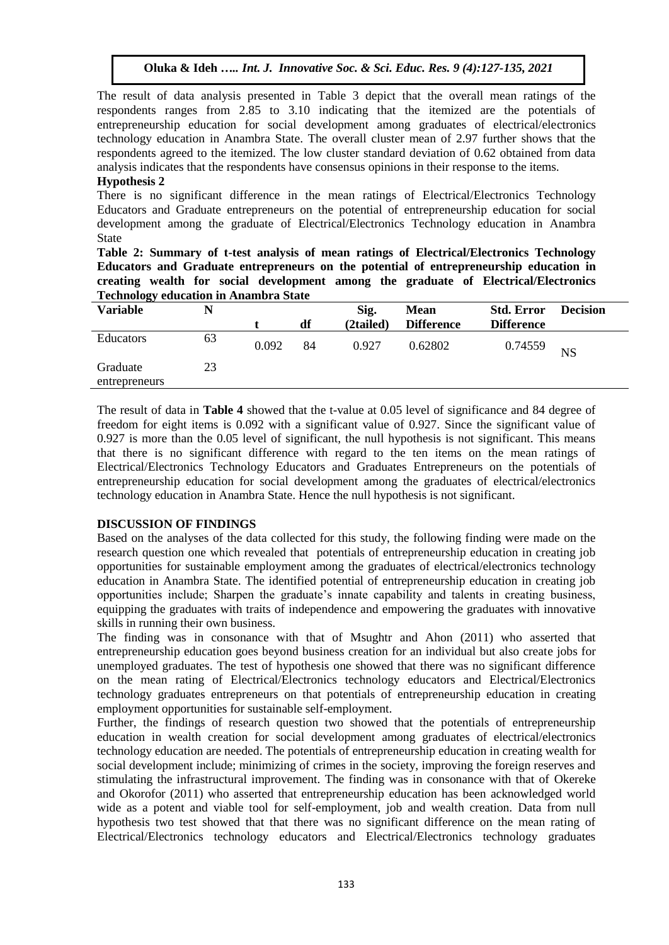The result of data analysis presented in Table 3 depict that the overall mean ratings of the respondents ranges from 2.85 to 3.10 indicating that the itemized are the potentials of entrepreneurship education for social development among graduates of electrical/electronics technology education in Anambra State. The overall cluster mean of 2.97 further shows that the respondents agreed to the itemized. The low cluster standard deviation of 0.62 obtained from data analysis indicates that the respondents have consensus opinions in their response to the items.

#### **Hypothesis 2**

There is no significant difference in the mean ratings of Electrical/Electronics Technology Educators and Graduate entrepreneurs on the potential of entrepreneurship education for social development among the graduate of Electrical/Electronics Technology education in Anambra State

**Table 2: Summary of t-test analysis of mean ratings of Electrical/Electronics Technology Educators and Graduate entrepreneurs on the potential of entrepreneurship education in creating wealth for social development among the graduate of Electrical/Electronics Technology education in Anambra State**

| ு<br><b>Variable</b><br>N |    |       |    | Sig.<br><b>Mean</b> |                   | <b>Std. Error</b> | <b>Decision</b> |  |
|---------------------------|----|-------|----|---------------------|-------------------|-------------------|-----------------|--|
|                           |    |       | df | (2tailed)           | <b>Difference</b> | <b>Difference</b> |                 |  |
| Educators                 | 63 | 0.092 | 84 | 0.927               | 0.62802           | 0.74559           | <b>NS</b>       |  |
| Graduate<br>entrepreneurs | 23 |       |    |                     |                   |                   |                 |  |

The result of data in **Table 4** showed that the t-value at 0.05 level of significance and 84 degree of freedom for eight items is 0.092 with a significant value of 0.927. Since the significant value of 0.927 is more than the 0.05 level of significant, the null hypothesis is not significant. This means that there is no significant difference with regard to the ten items on the mean ratings of Electrical/Electronics Technology Educators and Graduates Entrepreneurs on the potentials of entrepreneurship education for social development among the graduates of electrical/electronics technology education in Anambra State. Hence the null hypothesis is not significant.

### **DISCUSSION OF FINDINGS**

Based on the analyses of the data collected for this study, the following finding were made on the research question one which revealed that potentials of entrepreneurship education in creating job opportunities for sustainable employment among the graduates of electrical/electronics technology education in Anambra State. The identified potential of entrepreneurship education in creating job opportunities include; Sharpen the graduate's innate capability and talents in creating business, equipping the graduates with traits of independence and empowering the graduates with innovative skills in running their own business.

The finding was in consonance with that of Msughtr and Ahon (2011) who asserted that entrepreneurship education goes beyond business creation for an individual but also create jobs for unemployed graduates. The test of hypothesis one showed that there was no significant difference on the mean rating of Electrical/Electronics technology educators and Electrical/Electronics technology graduates entrepreneurs on that potentials of entrepreneurship education in creating employment opportunities for sustainable self-employment.

Further, the findings of research question two showed that the potentials of entrepreneurship education in wealth creation for social development among graduates of electrical/electronics technology education are needed. The potentials of entrepreneurship education in creating wealth for social development include; minimizing of crimes in the society, improving the foreign reserves and stimulating the infrastructural improvement. The finding was in consonance with that of Okereke and Okorofor (2011) who asserted that entrepreneurship education has been acknowledged world wide as a potent and viable tool for self-employment, job and wealth creation. Data from null hypothesis two test showed that that there was no significant difference on the mean rating of Electrical/Electronics technology educators and Electrical/Electronics technology graduates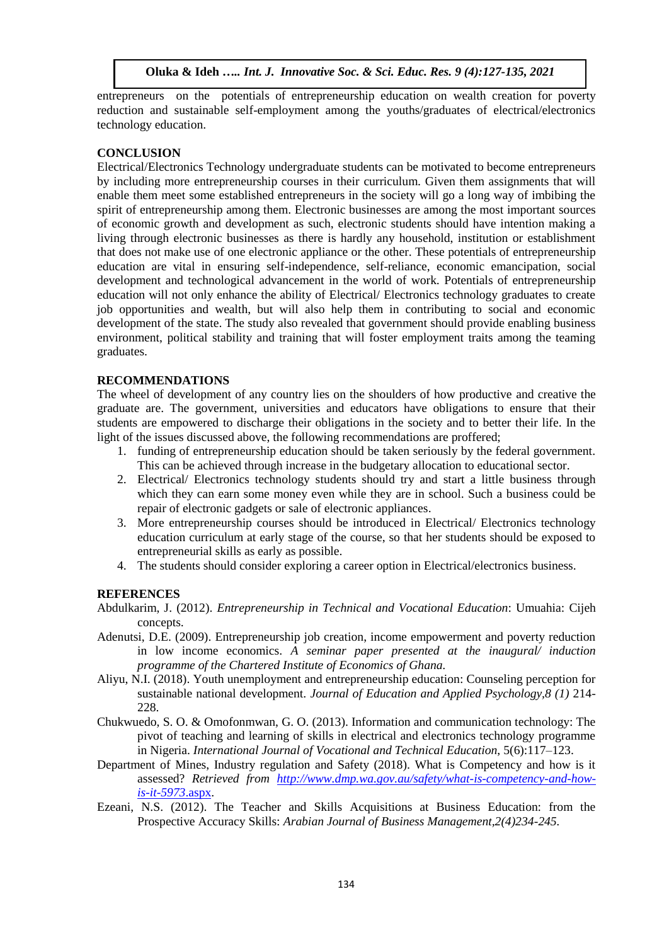entrepreneurs on the potentials of entrepreneurship education on wealth creation for poverty reduction and sustainable self-employment among the youths/graduates of electrical/electronics technology education.

## **CONCLUSION**

Electrical/Electronics Technology undergraduate students can be motivated to become entrepreneurs by including more entrepreneurship courses in their curriculum. Given them assignments that will enable them meet some established entrepreneurs in the society will go a long way of imbibing the spirit of entrepreneurship among them. Electronic businesses are among the most important sources of economic growth and development as such, electronic students should have intention making a living through electronic businesses as there is hardly any household, institution or establishment that does not make use of one electronic appliance or the other. These potentials of entrepreneurship education are vital in ensuring self-independence, self-reliance, economic emancipation, social development and technological advancement in the world of work. Potentials of entrepreneurship education will not only enhance the ability of Electrical/ Electronics technology graduates to create job opportunities and wealth, but will also help them in contributing to social and economic development of the state. The study also revealed that government should provide enabling business environment, political stability and training that will foster employment traits among the teaming graduates.

### **RECOMMENDATIONS**

The wheel of development of any country lies on the shoulders of how productive and creative the graduate are. The government, universities and educators have obligations to ensure that their students are empowered to discharge their obligations in the society and to better their life. In the light of the issues discussed above, the following recommendations are proffered;

- 1. funding of entrepreneurship education should be taken seriously by the federal government. This can be achieved through increase in the budgetary allocation to educational sector.
- 2. Electrical/ Electronics technology students should try and start a little business through which they can earn some money even while they are in school. Such a business could be repair of electronic gadgets or sale of electronic appliances.
- 3. More entrepreneurship courses should be introduced in Electrical/ Electronics technology education curriculum at early stage of the course, so that her students should be exposed to entrepreneurial skills as early as possible.
- 4. The students should consider exploring a career option in Electrical/electronics business.

### **REFERENCES**

Abdulkarim, J. (2012). *Entrepreneurship in Technical and Vocational Education*: Umuahia: Cijeh concepts.

- Adenutsi, D.E. (2009). Entrepreneurship job creation, income empowerment and poverty reduction in low income economics. *A seminar paper presented at the inaugural/ induction programme of the Chartered Institute of Economics of Ghana.*
- Aliyu, N.I. (2018). Youth unemployment and entrepreneurship education: Counseling perception for sustainable national development. *Journal of Education and Applied Psychology,8 (1)* 214- 228.
- Chukwuedo, S. O. & Omofonmwan, G. O. (2013). Information and communication technology: The pivot of teaching and learning of skills in electrical and electronics technology programme in Nigeria. *International Journal of Vocational and Technical Education*, 5(6):117–123.
- Department of Mines, Industry regulation and Safety (2018). What is Competency and how is it assessed? *Retrieved from [http://www.dmp.wa.gov.au/safety/what-is-competency-and-how](http://www.dmp.wa.gov.au/safety/what-is-competency-and-how-is-it-5973.aspx)[is-it-5973](http://www.dmp.wa.gov.au/safety/what-is-competency-and-how-is-it-5973.aspx)*.aspx.
- Ezeani, N.S. (2012). The Teacher and Skills Acquisitions at Business Education: from the Prospective Accuracy Skills: *Arabian Journal of Business Management,2(4)234-245.*